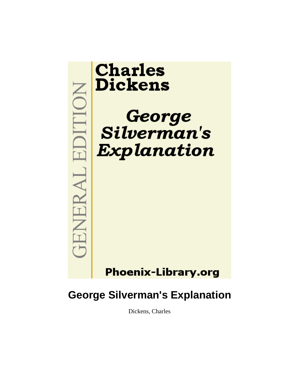

# **George Silverman's Explanation**

Dickens, Charles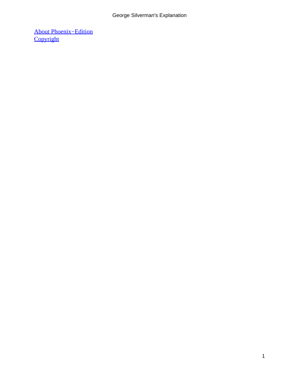[About Phoenix−Edition](#page-26-0) **[Copyright](#page-27-0)**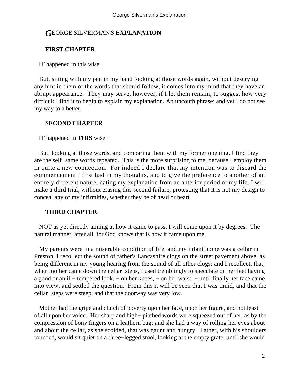### *G*EORGE SILVERMAN'S **EXPLANATION**

#### **FIRST CHAPTER**

IT happened in this wise −

 But, sitting with my pen in my hand looking at those words again, without descrying any hint in them of the words that should follow, it comes into my mind that they have an abrupt appearance. They may serve, however, if I let them remain, to suggest how very difficult I find it to begin to explain my explanation. An uncouth phrase: and yet I do not see my way to a better.

#### **SECOND CHAPTER**

IT happened in **THIS** wise −

 But, looking at those words, and comparing them with my former opening, I find they are the self−same words repeated. This is the more surprising to me, because I employ them in quite a new connection. For indeed I declare that my intention was to discard the commencement I first had in my thoughts, and to give the preference to another of an entirely different nature, dating my explanation from an anterior period of my life. I will make a third trial, without erasing this second failure, protesting that it is not my design to conceal any of my infirmities, whether they be of head or heart.

#### **THIRD CHAPTER**

 NOT as yet directly aiming at how it came to pass, I will come upon it by degrees. The natural manner, after all, for God knows that is how it came upon me.

 My parents were in a miserable condition of life, and my infant home was a cellar in Preston. I recollect the sound of father's Lancashire clogs on the street pavement above, as being different in my young hearing from the sound of all other clogs; and I recollect, that, when mother came down the cellar−steps, I used tremblingly to speculate on her feet having a good or an ill− tempered look, − on her knees, − on her waist, − until finally her face came into view, and settled the question. From this it will be seen that I was timid, and that the cellar−steps were steep, and that the doorway was very low.

 Mother had the gripe and clutch of poverty upon her face, upon her figure, and not least of all upon her voice. Her sharp and high− pitched words were squeezed out of her, as by the compression of bony fingers on a leathern bag; and she had a way of rolling her eyes about and about the cellar, as she scolded, that was gaunt and hungry. Father, with his shoulders rounded, would sit quiet on a three−legged stool, looking at the empty grate, until she would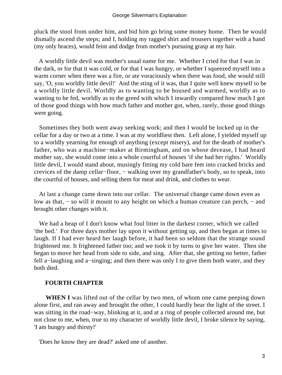pluck the stool from under him, and bid him go bring some money home. Then he would dismally ascend the steps; and I, holding my ragged shirt and trousers together with a hand (my only braces), would feint and dodge from mother's pursuing grasp at my hair.

 A worldly little devil was mother's usual name for me. Whether I cried for that I was in the dark, or for that it was cold, or for that I was hungry, or whether I squeezed myself into a warm corner when there was a fire, or ate voraciously when there was food, she would still say, 'O, you worldly little devil!' And the sting of it was, that I quite well knew myself to be a worldly little devil. Worldly as to wanting to be housed and warmed, worldly as to wanting to be fed, worldly as to the greed with which I inwardly compared how much I got of those good things with how much father and mother got, when, rarely, those good things were going.

 Sometimes they both went away seeking work; and then I would be locked up in the cellar for a day or two at a time. I was at my worldliest then. Left alone, I yielded myself up to a worldly yearning for enough of anything (except misery), and for the death of mother's father, who was a machine−maker at Birmingham, and on whose decease, I had heard mother say, she would come into a whole courtful of houses 'if she had her rights.' Worldly little devil, I would stand about, musingly fitting my cold bare feet into cracked bricks and crevices of the damp cellar−floor, − walking over my grandfather's body, so to speak, into the courtful of houses, and selling them for meat and drink, and clothes to wear.

 At last a change came down into our cellar. The universal change came down even as low as that, − so will it mount to any height on which a human creature can perch, − and brought other changes with it.

 We had a heap of I don't know what foul litter in the darkest corner, which we called 'the bed.' For three days mother lay upon it without getting up, and then began at times to laugh. If I had ever heard her laugh before, it had been so seldom that the strange sound frightened me. It frightened father too; and we took it by turns to give her water. Then she began to move her head from side to side, and sing. After that, she getting no better, father fell a−laughing and a−singing; and then there was only I to give them both water, and they both died.

#### **FOURTH CHAPTER**

**WHEN I** was lifted out of the cellar by two men, of whom one came peeping down alone first, and ran away and brought the other, I could hardly bear the light of the street. I was sitting in the road−way, blinking at it, and at a ring of people collected around me, but not close to me, when, true to my character of worldly little devil, I broke silence by saying, 'I am hungry and thirsty!'

'Does he know they are dead?' asked one of another.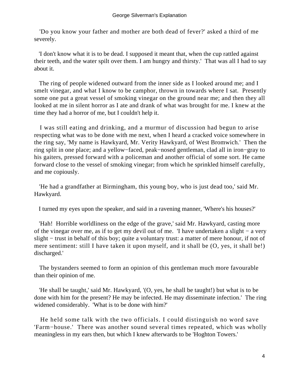'Do you know your father and mother are both dead of fever?' asked a third of me severely.

 'I don't know what it is to be dead. I supposed it meant that, when the cup rattled against their teeth, and the water spilt over them. I am hungry and thirsty.' That was all I had to say about it.

 The ring of people widened outward from the inner side as I looked around me; and I smelt vinegar, and what I know to be camphor, thrown in towards where I sat. Presently some one put a great vessel of smoking vinegar on the ground near me; and then they all looked at me in silent horror as I ate and drank of what was brought for me. I knew at the time they had a horror of me, but I couldn't help it.

 I was still eating and drinking, and a murmur of discussion had begun to arise respecting what was to be done with me next, when I heard a cracked voice somewhere in the ring say, 'My name is Hawkyard, Mr. Verity Hawkyard, of West Bromwich.' Then the ring split in one place; and a yellow−faced, peak−nosed gentleman, clad all in iron−gray to his gaiters, pressed forward with a policeman and another official of some sort. He came forward close to the vessel of smoking vinegar; from which he sprinkled himself carefully, and me copiously.

 'He had a grandfather at Birmingham, this young boy, who is just dead too,' said Mr. Hawkyard.

I turned my eyes upon the speaker, and said in a ravening manner, 'Where's his houses?'

 'Hah! Horrible worldliness on the edge of the grave,' said Mr. Hawkyard, casting more of the vinegar over me, as if to get my devil out of me. 'I have undertaken a slight − a very slight − trust in behalf of this boy; quite a voluntary trust: a matter of mere honour, if not of mere sentiment: still I have taken it upon myself, and it shall be (O, yes, it shall be!) discharged.'

 The bystanders seemed to form an opinion of this gentleman much more favourable than their opinion of me.

 'He shall be taught,' said Mr. Hawkyard, '(O, yes, he shall be taught!) but what is to be done with him for the present? He may be infected. He may disseminate infection.' The ring widened considerably. 'What is to be done with him?'

 He held some talk with the two officials. I could distinguish no word save 'Farm−house.' There was another sound several times repeated, which was wholly meaningless in my ears then, but which I knew afterwards to be 'Hoghton Towers.'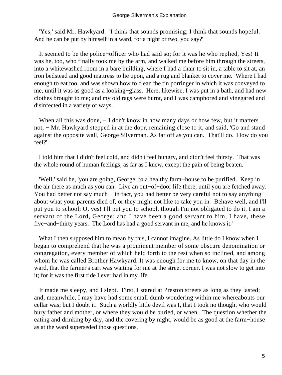'Yes,' said Mr. Hawkyard. 'I think that sounds promising; I think that sounds hopeful. And he can be put by himself in a ward, for a night or two, you say?'

 It seemed to be the police−officer who had said so; for it was he who replied, Yes! It was he, too, who finally took me by the arm, and walked me before him through the streets, into a whitewashed room in a bare building, where I had a chair to sit in, a table to sit at, an iron bedstead and good mattress to lie upon, and a rug and blanket to cover me. Where I had enough to eat too, and was shown how to clean the tin porringer in which it was conveyed to me, until it was as good as a looking−glass. Here, likewise, I was put in a bath, and had new clothes brought to me; and my old rags were burnt, and I was camphored and vinegared and disinfected in a variety of ways.

When all this was done, − I don't know in how many days or how few, but it matters not, − Mr. Hawkyard stepped in at the door, remaining close to it, and said, 'Go and stand against the opposite wall, George Silverman. As far off as you can. That'll do. How do you feel?'

 I told him that I didn't feel cold, and didn't feel hungry, and didn't feel thirsty. That was the whole round of human feelings, as far as I knew, except the pain of being beaten.

 'Well,' said he, 'you are going, George, to a healthy farm−house to be purified. Keep in the air there as much as you can. Live an out−of−door life there, until you are fetched away. You had better not say much − in fact, you had better be very careful not to say anything − about what your parents died of, or they might not like to take you in. Behave well, and I'll put you to school; O, yes! I'll put you to school, though I'm not obligated to do it. I am a servant of the Lord, George; and I have been a good servant to him, I have, these five−and−thirty years. The Lord has had a good servant in me, and he knows it.'

What I then supposed him to mean by this, I cannot imagine. As little do I know when I began to comprehend that he was a prominent member of some obscure denomination or congregation, every member of which held forth to the rest when so inclined, and among whom he was called Brother Hawkyard. It was enough for me to know, on that day in the ward, that the farmer's cart was waiting for me at the street corner. I was not slow to get into it; for it was the first ride I ever had in my life.

 It made me sleepy, and I slept. First, I stared at Preston streets as long as they lasted; and, meanwhile, I may have had some small dumb wondering within me whereabouts our cellar was; but I doubt it. Such a worldly little devil was I, that I took no thought who would bury father and mother, or where they would be buried, or when. The question whether the eating and drinking by day, and the covering by night, would be as good at the farm−house as at the ward superseded those questions.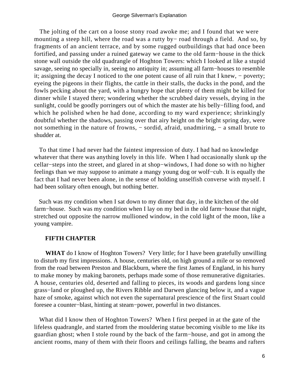The jolting of the cart on a loose stony road awoke me; and I found that we were mounting a steep hill, where the road was a rutty by− road through a field. And so, by fragments of an ancient terrace, and by some rugged outbuildings that had once been fortified, and passing under a ruined gateway we came to the old farm−house in the thick stone wall outside the old quadrangle of Hoghton Towers: which I looked at like a stupid savage, seeing no specially in, seeing no antiquity in; assuming all farm−houses to resemble it; assigning the decay I noticed to the one potent cause of all ruin that I knew, − poverty; eyeing the pigeons in their flights, the cattle in their stalls, the ducks in the pond, and the fowls pecking about the yard, with a hungry hope that plenty of them might be killed for dinner while I stayed there; wondering whether the scrubbed dairy vessels, drying in the sunlight, could be goodly porringers out of which the master ate his belly−filling food, and which he polished when he had done, according to my ward experience; shrinkingly doubtful whether the shadows, passing over that airy height on the bright spring day, were not something in the nature of frowns, − sordid, afraid, unadmiring, − a small brute to shudder at.

 To that time I had never had the faintest impression of duty. I had had no knowledge whatever that there was anything lovely in this life. When I had occasionally slunk up the cellar−steps into the street, and glared in at shop−windows, I had done so with no higher feelings than we may suppose to animate a mangy young dog or wolf−cub. It is equally the fact that I had never been alone, in the sense of holding unselfish converse with myself. I had been solitary often enough, but nothing better.

 Such was my condition when I sat down to my dinner that day, in the kitchen of the old farm−house. Such was my condition when I lay on my bed in the old farm−house that night, stretched out opposite the narrow mullioned window, in the cold light of the moon, like a young vampire.

#### **FIFTH CHAPTER**

**WHAT** do I know of Hoghton Towers? Very little; for I have been gratefully unwilling to disturb my first impressions. A house, centuries old, on high ground a mile or so removed from the road between Preston and Blackburn, where the first James of England, in his hurry to make money by making baronets, perhaps made some of those remunerative dignitaries. A house, centuries old, deserted and falling to pieces, its woods and gardens long since grass−land or ploughed up, the Rivers Ribble and Darwen glancing below it, and a vague haze of smoke, against which not even the supernatural prescience of the first Stuart could foresee a counter−blast, hinting at steam−power, powerful in two distances.

 What did I know then of Hoghton Towers? When I first peeped in at the gate of the lifeless quadrangle, and started from the mouldering statue becoming visible to me like its guardian ghost; when I stole round by the back of the farm−house, and got in among the ancient rooms, many of them with their floors and ceilings falling, the beams and rafters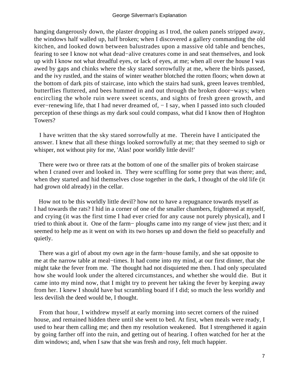hanging dangerously down, the plaster dropping as I trod, the oaken panels stripped away, the windows half walled up, half broken; when I discovered a gallery commanding the old kitchen, and looked down between balustrades upon a massive old table and benches, fearing to see I know not what dead−alive creatures come in and seat themselves, and look up with I know not what dreadful eyes, or lack of eyes, at me; when all over the house I was awed by gaps and chinks where the sky stared sorrowfully at me, where the birds passed, and the ivy rustled, and the stains of winter weather blotched the rotten floors; when down at the bottom of dark pits of staircase, into which the stairs had sunk, green leaves trembled, butterflies fluttered, and bees hummed in and out through the broken door−ways; when encircling the whole ruin were sweet scents, and sights of fresh green growth, and ever–renewing life, that I had never dreamed of, − I say, when I passed into such clouded perception of these things as my dark soul could compass, what did I know then of Hoghton Towers?

 I have written that the sky stared sorrowfully at me. Therein have I anticipated the answer. I knew that all these things looked sorrowfully at me; that they seemed to sigh or whisper, not without pity for me, 'Alas! poor worldly little devil!'

 There were two or three rats at the bottom of one of the smaller pits of broken staircase when I craned over and looked in. They were scuffling for some prey that was there; and, when they started and hid themselves close together in the dark, I thought of the old life (it had grown old already) in the cellar.

 How not to be this worldly little devil? how not to have a repugnance towards myself as I had towards the rats? I hid in a corner of one of the smaller chambers, frightened at myself, and crying (it was the first time I had ever cried for any cause not purely physical), and I tried to think about it. One of the farm− ploughs came into my range of view just then; and it seemed to help me as it went on with its two horses up and down the field so peacefully and quietly.

 There was a girl of about my own age in the farm−house family, and she sat opposite to me at the narrow table at meal−times. It had come into my mind, at our first dinner, that she might take the fever from me. The thought had not disquieted me then. I had only speculated how she would look under the altered circumstances, and whether she would die. But it came into my mind now, that I might try to prevent her taking the fever by keeping away from her. I knew I should have but scrambling board if I did; so much the less worldly and less devilish the deed would be, I thought.

 From that hour, I withdrew myself at early morning into secret corners of the ruined house, and remained hidden there until she went to bed. At first, when meals were ready, I used to hear them calling me; and then my resolution weakened. But I strengthened it again by going farther off into the ruin, and getting out of hearing. I often watched for her at the dim windows; and, when I saw that she was fresh and rosy, felt much happier.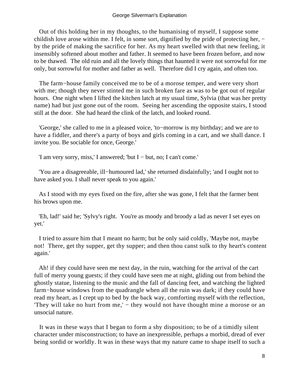Out of this holding her in my thoughts, to the humanising of myself, I suppose some childish love arose within me. I felt, in some sort, dignified by the pride of protecting her, − by the pride of making the sacrifice for her. As my heart swelled with that new feeling, it insensibly softened about mother and father. It seemed to have been frozen before, and now to be thawed. The old ruin and all the lovely things that haunted it were not sorrowful for me only, but sorrowful for mother and father as well. Therefore did I cry again, and often too.

 The farm−house family conceived me to be of a morose temper, and were very short with me; though they never stinted me in such broken fare as was to be got out of regular hours. One night when I lifted the kitchen latch at my usual time, Sylvia (that was her pretty name) had but just gone out of the room. Seeing her ascending the opposite stairs, I stood still at the door. She had heard the clink of the latch, and looked round.

 'George,' she called to me in a pleased voice, 'to−morrow is my birthday; and we are to have a fiddler, and there's a party of boys and girls coming in a cart, and we shall dance. I invite you. Be sociable for once, George.'

'I am very sorry, miss,' I answered; 'but I − but, no; I can't come.'

 'You are a disagreeable, ill−humoured lad,' she returned disdainfully; 'and I ought not to have asked you. I shall never speak to you again.'

 As I stood with my eyes fixed on the fire, after she was gone, I felt that the farmer bent his brows upon me.

 'Eh, lad!' said he; 'Sylvy's right. You're as moody and broody a lad as never I set eyes on yet.'

 I tried to assure him that I meant no harm; but he only said coldly, 'Maybe not, maybe not! There, get thy supper, get thy supper; and then thou canst sulk to thy heart's content again.'

 Ah! if they could have seen me next day, in the ruin, watching for the arrival of the cart full of merry young guests; if they could have seen me at night, gliding out from behind the ghostly statue, listening to the music and the fall of dancing feet, and watching the lighted farm−house windows from the quadrangle when all the ruin was dark; if they could have read my heart, as I crept up to bed by the back way, comforting myself with the reflection, 'They will take no hurt from me,' − they would not have thought mine a morose or an unsocial nature.

 It was in these ways that I began to form a shy disposition; to be of a timidly silent character under misconstruction; to have an inexpressible, perhaps a morbid, dread of ever being sordid or worldly. It was in these ways that my nature came to shape itself to such a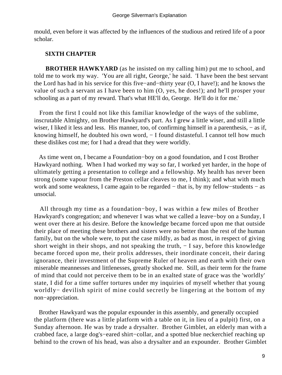mould, even before it was affected by the influences of the studious and retired life of a poor scholar.

#### **SIXTH CHAPTER**

**BROTHER HAWKYARD** (as he insisted on my calling him) put me to school, and told me to work my way. 'You are all right, George,' he said. 'I have been the best servant the Lord has had in his service for this five−and−thirty year (O, I have!); and he knows the value of such a servant as I have been to him (O, yes, he does!); and he'll prosper your schooling as a part of my reward. That's what HE'll do, George. He'll do it for me.'

 From the first I could not like this familiar knowledge of the ways of the sublime, inscrutable Almighty, on Brother Hawkyard's part. As I grew a little wiser, and still a little wiser, I liked it less and less. His manner, too, of confirming himself in a parenthesis, – as if, knowing himself, he doubted his own word, − I found distasteful. I cannot tell how much these dislikes cost me; for I had a dread that they were worldly.

 As time went on, I became a Foundation−boy on a good foundation, and I cost Brother Hawkyard nothing. When I had worked my way so far, I worked yet harder, in the hope of ultimately getting a presentation to college and a fellowship. My health has never been strong (some vapour from the Preston cellar cleaves to me, I think); and what with much work and some weakness, I came again to be regarded − that is, by my fellow−students − as unsocial.

 All through my time as a foundation−boy, I was within a few miles of Brother Hawkyard's congregation; and whenever I was what we called a leave−boy on a Sunday, I went over there at his desire. Before the knowledge became forced upon me that outside their place of meeting these brothers and sisters were no better than the rest of the human family, but on the whole were, to put the case mildly, as bad as most, in respect of giving short weight in their shops, and not speaking the truth,  $- I$  say, before this knowledge became forced upon me, their prolix addresses, their inordinate conceit, their daring ignorance, their investment of the Supreme Ruler of heaven and earth with their own miserable meannesses and littlenesses, greatly shocked me. Still, as their term for the frame of mind that could not perceive them to be in an exalted state of grace was the 'worldly' state, I did for a time suffer tortures under my inquiries of myself whether that young worldly− devilish spirit of mine could secretly be lingering at the bottom of my non−appreciation.

 Brother Hawkyard was the popular expounder in this assembly, and generally occupied the platform (there was a little platform with a table on it, in lieu of a pulpit) first, on a Sunday afternoon. He was by trade a drysalter. Brother Gimblet, an elderly man with a crabbed face, a large dog's−eared shirt−collar, and a spotted blue neckerchief reaching up behind to the crown of his head, was also a drysalter and an expounder. Brother Gimblet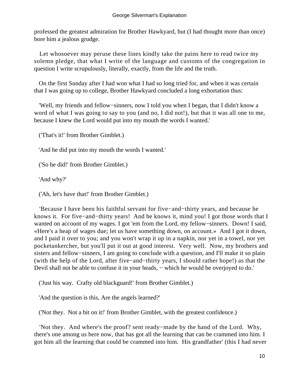professed the greatest admiration for Brother Hawkyard, but (I had thought more than once) bore him a jealous grudge.

 Let whosoever may peruse these lines kindly take the pains here to read twice my solemn pledge, that what I write of the language and customs of the congregation in question I write scrupulously, literally, exactly, from the life and the truth.

 On the first Sunday after I had won what I had so long tried for, and when it was certain that I was going up to college, Brother Hawkyard concluded a long exhortation thus:

 'Well, my friends and fellow−sinners, now I told you when I began, that I didn't know a word of what I was going to say to you (and no, I did not!), but that it was all one to me, because I knew the Lord would put into my mouth the words I wanted.'

('That's it!' from Brother Gimblet.)

'And he did put into my mouth the words I wanted.'

('So he did!' from Brother Gimblet.)

'And why?'

('Ah, let's have that!' from Brother Gimblet.)

 'Because I have been his faithful servant for five−and−thirty years, and because he knows it. For five−and−thirty years! And he knows it, mind you! I got those words that I wanted on account of my wages. I got 'em from the Lord, my fellow−sinners. Down! I said, «Here's a heap of wages due; let us have something down, on account.» And I got it down, and I paid it over to you; and you won't wrap it up in a napkin, nor yet in a towel, nor yet pocketankercher, but you'll put it out at good interest. Very well. Now, my brothers and sisters and fellow−sinners, I am going to conclude with a question, and I'll make it so plain (with the help of the Lord, after five−and−thirty years, I should rather hope!) as that the Devil shall not be able to confuse it in your heads, – which he would be overjoyed to do.'

('Just his way. Crafty old blackguard!' from Brother Gimblet.)

'And the question is this, Are the angels learned?'

('Not they. Not a bit on it!' from Brother Gimblet, with the greatest confidence.)

 'Not they. And where's the proof? sent ready−made by the hand of the Lord. Why, there's one among us here now, that has got all the learning that can be crammed into him. I got him all the learning that could be crammed into him. His grandfather' (this I had never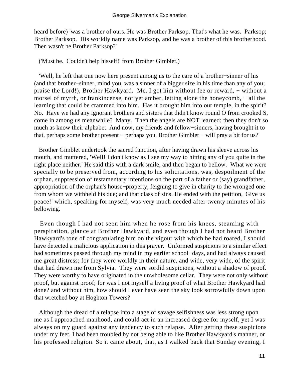heard before) 'was a brother of ours. He was Brother Parksop. That's what he was. Parksop; Brother Parksop. His worldly name was Parksop, and he was a brother of this brotherhood. Then wasn't he Brother Parksop?'

#### ('Must be. Couldn't help hisself!' from Brother Gimblet.)

 'Well, he left that one now here present among us to the care of a brother−sinner of his (and that brother−sinner, mind you, was a sinner of a bigger size in his time than any of you; praise the Lord!), Brother Hawkyard. Me. I got him without fee or reward, − without a morsel of myrrh, or frankincense, nor yet amber, letting alone the honeycomb, − all the learning that could be crammed into him. Has it brought him into our temple, in the spirit? No. Have we had any ignorant brothers and sisters that didn't know round O from crooked S, come in among us meanwhile? Many. Then the angels are NOT learned; then they don't so much as know their alphabet. And now, my friends and fellow−sinners, having brought it to that, perhaps some brother present − perhaps you, Brother Gimblet − will pray a bit for us?'

 Brother Gimblet undertook the sacred function, after having drawn his sleeve across his mouth, and muttered, 'Well! I don't know as I see my way to hitting any of you quite in the right place neither.' He said this with a dark smile, and then began to bellow. What we were specially to be preserved from, according to his solicitations, was, despoilment of the orphan, suppression of testamentary intentions on the part of a father or (say) grandfather, appropriation of the orphan's house−property, feigning to give in charity to the wronged one from whom we withheld his due; and that class of sins. He ended with the petition, 'Give us peace!' which, speaking for myself, was very much needed after twenty minutes of his bellowing.

 Even though I had not seen him when he rose from his knees, steaming with perspiration, glance at Brother Hawkyard, and even though I had not heard Brother Hawkyard's tone of congratulating him on the vigour with which he had roared, I should have detected a malicious application in this prayer. Unformed suspicions to a similar effect had sometimes passed through my mind in my earlier school−days, and had always caused me great distress; for they were worldly in their nature, and wide, very wide, of the spirit that had drawn me from Sylvia. They were sordid suspicions, without a shadow of proof. They were worthy to have originated in the unwholesome cellar. They were not only without proof, but against proof; for was I not myself a living proof of what Brother Hawkyard had done? and without him, how should I ever have seen the sky look sorrowfully down upon that wretched boy at Hoghton Towers?

 Although the dread of a relapse into a stage of savage selfishness was less strong upon me as I approached manhood, and could act in an increased degree for myself, yet I was always on my guard against any tendency to such relapse. After getting these suspicions under my feet, I had been troubled by not being able to like Brother Hawkyard's manner, or his professed religion. So it came about, that, as I walked back that Sunday evening, I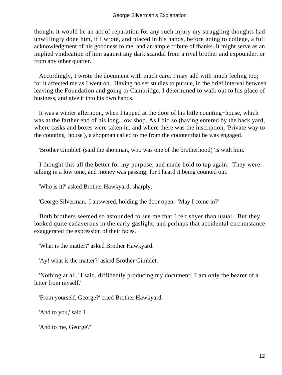thought it would be an act of reparation for any such injury my struggling thoughts had unwillingly done him, if I wrote, and placed in his hands, before going to college, a full acknowledgment of his goodness to me, and an ample tribute of thanks. It might serve as an implied vindication of him against any dark scandal from a rival brother and expounder, or from any other quarter.

 Accordingly, I wrote the document with much care. I may add with much feeling too; for it affected me as I went on. Having no set studies to pursue, in the brief interval between leaving the Foundation and going to Cambridge, I determined to walk out to his place of business, and give it into his own hands.

 It was a winter afternoon, when I tapped at the door of his little counting−house, which was at the farther end of his long, low shop. As I did so (having entered by the back yard, where casks and boxes were taken in, and where there was the inscription, 'Private way to the counting−house'), a shopman called to me from the counter that he was engaged.

'Brother Gimblet' (said the shopman, who was one of the brotherhood) 'is with him.'

 I thought this all the better for my purpose, and made bold to tap again. They were talking in a low tone, and money was passing; for I heard it being counted out.

'Who is it?' asked Brother Hawkyard, sharply.

'George Silverman,' I answered, holding the door open. 'May I come in?'

 Both brothers seemed so astounded to see me that I felt shyer than usual. But they looked quite cadaverous in the early gaslight, and perhaps that accidental circumstance exaggerated the expression of their faces.

'What is the matter?' asked Brother Hawkyard.

'Ay! what is the matter?' asked Brother Gimblet.

 'Nothing at all,' I said, diffidently producing my document: 'I am only the bearer of a letter from myself.'

'From yourself, George?' cried Brother Hawkyard.

'And to you,' said I.

'And to me, George?'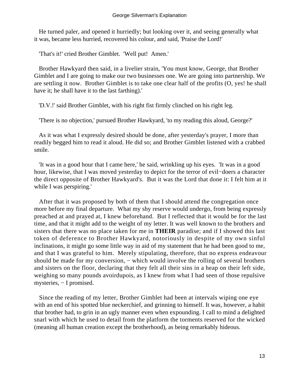He turned paler, and opened it hurriedly; but looking over it, and seeing generally what it was, became less hurried, recovered his colour, and said, 'Praise the Lord!'

'That's it!' cried Brother Gimblet. 'Well put! Amen.'

 Brother Hawkyard then said, in a livelier strain, 'You must know, George, that Brother Gimblet and I are going to make our two businesses one. We are going into partnership. We are settling it now. Brother Gimblet is to take one clear half of the profits (O, yes! he shall have it; he shall have it to the last farthing).'

'D.V.!' said Brother Gimblet, with his right fist firmly clinched on his right leg.

'There is no objection,' pursued Brother Hawkyard, 'to my reading this aloud, George?'

 As it was what I expressly desired should be done, after yesterday's prayer, I more than readily begged him to read it aloud. He did so; and Brother Gimblet listened with a crabbed smile.

 'It was in a good hour that I came here,' he said, wrinkling up his eyes. 'It was in a good hour, likewise, that I was moved yesterday to depict for the terror of evil−doers a character the direct opposite of Brother Hawkyard's. But it was the Lord that done it: I felt him at it while I was perspiring.'

 After that it was proposed by both of them that I should attend the congregation once more before my final departure. What my shy reserve would undergo, from being expressly preached at and prayed at, I knew beforehand. But I reflected that it would be for the last time, and that it might add to the weight of my letter. It was well known to the brothers and sisters that there was no place taken for me in **THEIR** paradise; and if I showed this last token of deference to Brother Hawkyard, notoriously in despite of my own sinful inclinations, it might go some little way in aid of my statement that he had been good to me, and that I was grateful to him. Merely stipulating, therefore, that no express endeavour should be made for my conversion, – which would involve the rolling of several brothers and sisters on the floor, declaring that they felt all their sins in a heap on their left side, weighing so many pounds avoirdupois, as I knew from what I had seen of those repulsive mysteries, − I promised.

 Since the reading of my letter, Brother Gimblet had been at intervals wiping one eye with an end of his spotted blue neckerchief, and grinning to himself. It was, however, a habit that brother had, to grin in an ugly manner even when expounding. I call to mind a delighted snarl with which he used to detail from the platform the torments reserved for the wicked (meaning all human creation except the brotherhood), as being remarkably hideous.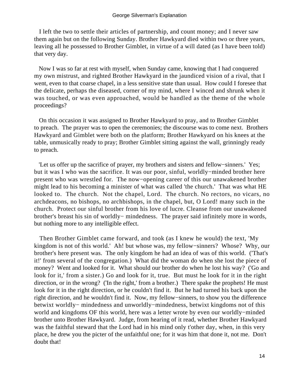I left the two to settle their articles of partnership, and count money; and I never saw them again but on the following Sunday. Brother Hawkyard died within two or three years, leaving all he possessed to Brother Gimblet, in virtue of a will dated (as I have been told) that very day.

 Now I was so far at rest with myself, when Sunday came, knowing that I had conquered my own mistrust, and righted Brother Hawkyard in the jaundiced vision of a rival, that I went, even to that coarse chapel, in a less sensitive state than usual. How could I foresee that the delicate, perhaps the diseased, corner of my mind, where I winced and shrunk when it was touched, or was even approached, would be handled as the theme of the whole proceedings?

 On this occasion it was assigned to Brother Hawkyard to pray, and to Brother Gimblet to preach. The prayer was to open the ceremonies; the discourse was to come next. Brothers Hawkyard and Gimblet were both on the platform; Brother Hawkyard on his knees at the table, unmusically ready to pray; Brother Gimblet sitting against the wall, grinningly ready to preach.

 'Let us offer up the sacrifice of prayer, my brothers and sisters and fellow−sinners.' Yes; but it was I who was the sacrifice. It was our poor, sinful, worldly−minded brother here present who was wrestled for. The now−opening career of this our unawakened brother might lead to his becoming a minister of what was called 'the church.' That was what HE looked to. The church. Not the chapel, Lord. The church. No rectors, no vicars, no archdeacons, no bishops, no archbishops, in the chapel, but, O Lord! many such in the church. Protect our sinful brother from his love of lucre. Cleanse from our unawakened brother's breast his sin of worldly− mindedness. The prayer said infinitely more in words, but nothing more to any intelligible effect.

 Then Brother Gimblet came forward, and took (as I knew he would) the text, 'My kingdom is not of this world.' Ah! but whose was, my fellow−sinners? Whose? Why, our brother's here present was. The only kingdom he had an idea of was of this world. ('That's it!' from several of the congregation.) What did the woman do when she lost the piece of money? Went and looked for it. What should our brother do when he lost his way? ('Go and look for it,' from a sister.) Go and look for it, true. But must he look for it in the right direction, or in the wrong? ('In the right,' from a brother.) There spake the prophets! He must look for it in the right direction, or he couldn't find it. But he had turned his back upon the right direction, and he wouldn't find it. Now, my fellow−sinners, to show you the difference betwixt worldly− mindedness and unworldly−mindedness, betwixt kingdoms not of this world and kingdoms OF this world, here was a letter wrote by even our worldly−minded brother unto Brother Hawkyard. Judge, from hearing of it read, whether Brother Hawkyard was the faithful steward that the Lord had in his mind only t'other day, when, in this very place, he drew you the picter of the unfaithful one; for it was him that done it, not me. Don't doubt that!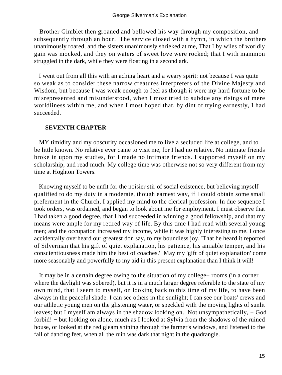Brother Gimblet then groaned and bellowed his way through my composition, and subsequently through an hour. The service closed with a hymn, in which the brothers unanimously roared, and the sisters unanimously shrieked at me, That I by wiles of worldly gain was mocked, and they on waters of sweet love were rocked; that I with mammon struggled in the dark, while they were floating in a second ark.

 I went out from all this with an aching heart and a weary spirit: not because I was quite so weak as to consider these narrow creatures interpreters of the Divine Majesty and Wisdom, but because I was weak enough to feel as though it were my hard fortune to be misrepresented and misunderstood, when I most tried to subdue any risings of mere worldliness within me, and when I most hoped that, by dint of trying earnestly, I had succeeded.

#### **SEVENTH CHAPTER**

 MY timidity and my obscurity occasioned me to live a secluded life at college, and to be little known. No relative ever came to visit me, for I had no relative. No intimate friends broke in upon my studies, for I made no intimate friends. I supported myself on my scholarship, and read much. My college time was otherwise not so very different from my time at Hoghton Towers.

 Knowing myself to be unfit for the noisier stir of social existence, but believing myself qualified to do my duty in a moderate, though earnest way, if I could obtain some small preferment in the Church, I applied my mind to the clerical profession. In due sequence I took orders, was ordained, and began to look about me for employment. I must observe that I had taken a good degree, that I had succeeded in winning a good fellowship, and that my means were ample for my retired way of life. By this time I had read with several young men; and the occupation increased my income, while it was highly interesting to me. I once accidentally overheard our greatest don say, to my boundless joy, 'That he heard it reported of Silverman that his gift of quiet explanation, his patience, his amiable temper, and his conscientiousness made him the best of coaches.' May my 'gift of quiet explanation' come more seasonably and powerfully to my aid in this present explanation than I think it will!

 It may be in a certain degree owing to the situation of my college− rooms (in a corner where the daylight was sobered), but it is in a much larger degree referable to the state of my own mind, that I seem to myself, on looking back to this time of my life, to have been always in the peaceful shade. I can see others in the sunlight; I can see our boats' crews and our athletic young men on the glistening water, or speckled with the moving lights of sunlit leaves; but I myself am always in the shadow looking on. Not unsympathetically, − God forbid! – but looking on alone, much as I looked at Sylvia from the shadows of the ruined house, or looked at the red gleam shining through the farmer's windows, and listened to the fall of dancing feet, when all the ruin was dark that night in the quadrangle.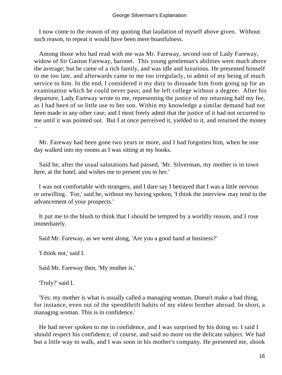I now come to the reason of my quoting that laudation of myself above given. Without such reason, to repeat it would have been mere boastfulness.

 Among those who had read with me was Mr. Fareway, second son of Lady Fareway, widow of Sir Gaston Fareway, baronet. This young gentleman's abilities were much above the average; but he came of a rich family, and was idle and luxurious. He presented himself to me too late, and afterwards came to me too irregularly, to admit of my being of much service to him. In the end, I considered it my duty to dissuade him from going up for an examination which he could never pass; and he left college without a degree. After his departure, Lady Fareway wrote to me, representing the justice of my returning half my fee, as I had been of so little use to her son. Within my knowledge a similar demand had not been made in any other case; and I most freely admit that the justice of it had not occurred to me until it was pointed out. But I at once perceived it, yielded to it, and returned the money −

 Mr. Fareway had been gone two years or more, and I had forgotten him, when he one day walked into my rooms as I was sitting at my books.

 Said he, after the usual salutations had passed, 'Mr. Silverman, my mother is in town here, at the hotel, and wishes me to present you to her.'

 I was not comfortable with strangers, and I dare say I betrayed that I was a little nervous or unwilling. 'For,' said he, without my having spoken, 'I think the interview may tend to the advancement of your prospects.'

 It put me to the blush to think that I should be tempted by a worldly reason, and I rose immediately.

Said Mr. Fareway, as we went along, 'Are you a good hand at business?'

'I think not,' said I.

Said Mr. Fareway then, 'My mother is.'

'Truly?' said I.

 'Yes: my mother is what is usually called a managing woman. Doesn't make a bad thing, for instance, even out of the spendthrift habits of my eldest brother abroad. In short, a managing woman. This is in confidence.'

 He had never spoken to me in confidence, and I was surprised by his doing so. I said I should respect his confidence, of course, and said no more on the delicate subject. We had but a little way to walk, and I was soon in his mother's company. He presented me, shook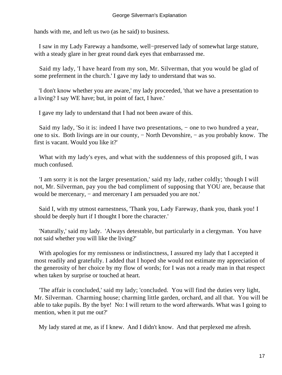hands with me, and left us two (as he said) to business.

 I saw in my Lady Fareway a handsome, well−preserved lady of somewhat large stature, with a steady glare in her great round dark eyes that embarrassed me.

 Said my lady, 'I have heard from my son, Mr. Silverman, that you would be glad of some preferment in the church.' I gave my lady to understand that was so.

 'I don't know whether you are aware,' my lady proceeded, 'that we have a presentation to a living? I say WE have; but, in point of fact, I have.'

I gave my lady to understand that I had not been aware of this.

Said my lady, 'So it is: indeed I have two presentations, – one to two hundred a year, one to six. Both livings are in our county, − North Devonshire, − as you probably know. The first is vacant. Would you like it?'

 What with my lady's eyes, and what with the suddenness of this proposed gift, I was much confused.

 'I am sorry it is not the larger presentation,' said my lady, rather coldly; 'though I will not, Mr. Silverman, pay you the bad compliment of supposing that YOU are, because that would be mercenary, – and mercenary I am persuaded you are not.'

 Said I, with my utmost earnestness, 'Thank you, Lady Fareway, thank you, thank you! I should be deeply hurt if I thought I bore the character.'

 'Naturally,' said my lady. 'Always detestable, but particularly in a clergyman. You have not said whether you will like the living?'

 With apologies for my remissness or indistinctness, I assured my lady that I accepted it most readily and gratefully. I added that I hoped she would not estimate my appreciation of the generosity of her choice by my flow of words; for I was not a ready man in that respect when taken by surprise or touched at heart.

 'The affair is concluded,' said my lady; 'concluded. You will find the duties very light, Mr. Silverman. Charming house; charming little garden, orchard, and all that. You will be able to take pupils. By the bye! No: I will return to the word afterwards. What was I going to mention, when it put me out?'

My lady stared at me, as if I knew. And I didn't know. And that perplexed me afresh.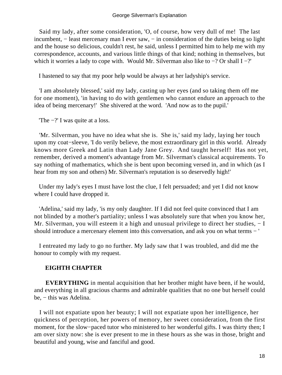Said my lady, after some consideration, 'O, of course, how very dull of me! The last incumbent, − least mercenary man I ever saw, − in consideration of the duties being so light and the house so delicious, couldn't rest, he said, unless I permitted him to help me with my correspondence, accounts, and various little things of that kind; nothing in themselves, but which it worries a lady to cope with. Would Mr. Silverman also like to −? Or shall I −?'

I hastened to say that my poor help would be always at her ladyship's service.

 'I am absolutely blessed,' said my lady, casting up her eyes (and so taking them off me for one moment), 'in having to do with gentlemen who cannot endure an approach to the idea of being mercenary!' She shivered at the word. 'And now as to the pupil.'

'The −?' I was quite at a loss.

 'Mr. Silverman, you have no idea what she is. She is,' said my lady, laying her touch upon my coat−sleeve, 'I do verily believe, the most extraordinary girl in this world. Already knows more Greek and Latin than Lady Jane Grey. And taught herself! Has not yet, remember, derived a moment's advantage from Mr. Silverman's classical acquirements. To say nothing of mathematics, which she is bent upon becoming versed in, and in which (as I hear from my son and others) Mr. Silverman's reputation is so deservedly high!'

 Under my lady's eyes I must have lost the clue, I felt persuaded; and yet I did not know where I could have dropped it.

 'Adelina,' said my lady, 'is my only daughter. If I did not feel quite convinced that I am not blinded by a mother's partiality; unless I was absolutely sure that when you know her, Mr. Silverman, you will esteem it a high and unusual privilege to direct her studies, – I should introduce a mercenary element into this conversation, and ask you on what terms − '

 I entreated my lady to go no further. My lady saw that I was troubled, and did me the honour to comply with my request.

## **EIGHTH CHAPTER**

**EVERYTHING** in mental acquisition that her brother might have been, if he would, and everything in all gracious charms and admirable qualities that no one but herself could be, − this was Adelina.

 I will not expatiate upon her beauty; I will not expatiate upon her intelligence, her quickness of perception, her powers of memory, her sweet consideration, from the first moment, for the slow−paced tutor who ministered to her wonderful gifts. I was thirty then; I am over sixty now: she is ever present to me in these hours as she was in those, bright and beautiful and young, wise and fanciful and good.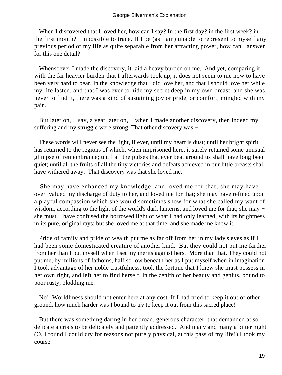When I discovered that I loved her, how can I say? In the first day? in the first week? in the first month? Impossible to trace. If I be (as I am) unable to represent to myself any previous period of my life as quite separable from her attracting power, how can I answer for this one detail?

 Whensoever I made the discovery, it laid a heavy burden on me. And yet, comparing it with the far heavier burden that I afterwards took up, it does not seem to me now to have been very hard to bear. In the knowledge that I did love her, and that I should love her while my life lasted, and that I was ever to hide my secret deep in my own breast, and she was never to find it, there was a kind of sustaining joy or pride, or comfort, mingled with my pain.

 But later on, − say, a year later on, − when I made another discovery, then indeed my suffering and my struggle were strong. That other discovery was −

 These words will never see the light, if ever, until my heart is dust; until her bright spirit has returned to the regions of which, when imprisoned here, it surely retained some unusual glimpse of remembrance; until all the pulses that ever beat around us shall have long been quiet; until all the fruits of all the tiny victories and defeats achieved in our little breasts shall have withered away. That discovery was that she loved me.

 She may have enhanced my knowledge, and loved me for that; she may have over−valued my discharge of duty to her, and loved me for that; she may have refined upon a playful compassion which she would sometimes show for what she called my want of wisdom, according to the light of the world's dark lanterns, and loved me for that; she may − she must − have confused the borrowed light of what I had only learned, with its brightness in its pure, original rays; but she loved me at that time, and she made me know it.

 Pride of family and pride of wealth put me as far off from her in my lady's eyes as if I had been some domesticated creature of another kind. But they could not put me farther from her than I put myself when I set my merits against hers. More than that. They could not put me, by millions of fathoms, half so low beneath her as I put myself when in imagination I took advantage of her noble trustfulness, took the fortune that I knew she must possess in her own right, and left her to find herself, in the zenith of her beauty and genius, bound to poor rusty, plodding me.

 No! Worldliness should not enter here at any cost. If I had tried to keep it out of other ground, how much harder was I bound to try to keep it out from this sacred place!

 But there was something daring in her broad, generous character, that demanded at so delicate a crisis to be delicately and patiently addressed. And many and many a bitter night (O, I found I could cry for reasons not purely physical, at this pass of my life!) I took my course.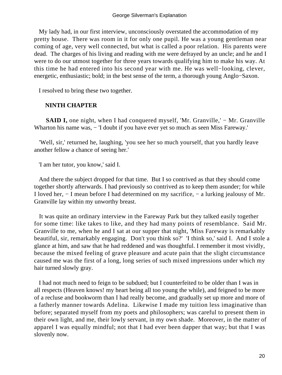My lady had, in our first interview, unconsciously overstated the accommodation of my pretty house. There was room in it for only one pupil. He was a young gentleman near coming of age, very well connected, but what is called a poor relation. His parents were dead. The charges of his living and reading with me were defrayed by an uncle; and he and I were to do our utmost together for three years towards qualifying him to make his way. At this time he had entered into his second year with me. He was well−looking, clever, energetic, enthusiastic; bold; in the best sense of the term, a thorough young Anglo−Saxon.

I resolved to bring these two together.

#### **NINTH CHAPTER**

**SAID I,** one night, when I had conquered myself, 'Mr. Granville,' − Mr. Granville Wharton his name was, – 'I doubt if you have ever yet so much as seen Miss Fareway.'

 'Well, sir,' returned he, laughing, 'you see her so much yourself, that you hardly leave another fellow a chance of seeing her.'

'I am her tutor, you know,' said I.

 And there the subject dropped for that time. But I so contrived as that they should come together shortly afterwards. I had previously so contrived as to keep them asunder; for while I loved her, − I mean before I had determined on my sacrifice, − a lurking jealousy of Mr. Granville lay within my unworthy breast.

 It was quite an ordinary interview in the Fareway Park but they talked easily together for some time: like takes to like, and they had many points of resemblance. Said Mr. Granville to me, when he and I sat at our supper that night, 'Miss Fareway is remarkably beautiful, sir, remarkably engaging. Don't you think so?' 'I think so,' said I. And I stole a glance at him, and saw that he had reddened and was thoughtful. I remember it most vividly, because the mixed feeling of grave pleasure and acute pain that the slight circumstance caused me was the first of a long, long series of such mixed impressions under which my hair turned slowly gray.

 I had not much need to feign to be subdued; but I counterfeited to be older than I was in all respects (Heaven knows! my heart being all too young the while), and feigned to be more of a recluse and bookworm than I had really become, and gradually set up more and more of a fatherly manner towards Adelina. Likewise I made my tuition less imaginative than before; separated myself from my poets and philosophers; was careful to present them in their own light, and me, their lowly servant, in my own shade. Moreover, in the matter of apparel I was equally mindful; not that I had ever been dapper that way; but that I was slovenly now.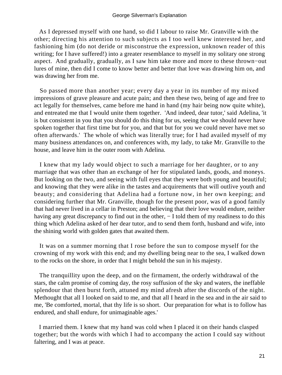As I depressed myself with one hand, so did I labour to raise Mr. Granville with the other; directing his attention to such subjects as I too well knew interested her, and fashioning him (do not deride or misconstrue the expression, unknown reader of this writing; for I have suffered!) into a greater resemblance to myself in my solitary one strong aspect. And gradually, gradually, as I saw him take more and more to these thrown−out lures of mine, then did I come to know better and better that love was drawing him on, and was drawing her from me.

 So passed more than another year; every day a year in its number of my mixed impressions of grave pleasure and acute pain; and then these two, being of age and free to act legally for themselves, came before me hand in hand (my hair being now quite white), and entreated me that I would unite them together. 'And indeed, dear tutor,' said Adelina, 'it is but consistent in you that you should do this thing for us, seeing that we should never have spoken together that first time but for you, and that but for you we could never have met so often afterwards.' The whole of which was literally true; for I had availed myself of my many business attendances on, and conferences with, my lady, to take Mr. Granville to the house, and leave him in the outer room with Adelina.

 I knew that my lady would object to such a marriage for her daughter, or to any marriage that was other than an exchange of her for stipulated lands, goods, and moneys. But looking on the two, and seeing with full eyes that they were both young and beautiful; and knowing that they were alike in the tastes and acquirements that will outlive youth and beauty; and considering that Adelina had a fortune now, in her own keeping; and considering further that Mr. Granville, though for the present poor, was of a good family that had never lived in a cellar in Preston; and believing that their love would endure, neither having any great discrepancy to find out in the other, – I told them of my readiness to do this thing which Adelina asked of her dear tutor, and to send them forth, husband and wife, into the shining world with golden gates that awaited them.

 It was on a summer morning that I rose before the sun to compose myself for the crowning of my work with this end; and my dwelling being near to the sea, I walked down to the rocks on the shore, in order that I might behold the sun in his majesty.

 The tranquillity upon the deep, and on the firmament, the orderly withdrawal of the stars, the calm promise of coming day, the rosy suffusion of the sky and waters, the ineffable splendour that then burst forth, attuned my mind afresh after the discords of the night. Methought that all I looked on said to me, and that all I heard in the sea and in the air said to me, 'Be comforted, mortal, that thy life is so short. Our preparation for what is to follow has endured, and shall endure, for unimaginable ages.'

 I married them. I knew that my hand was cold when I placed it on their hands clasped together; but the words with which I had to accompany the action I could say without faltering, and I was at peace.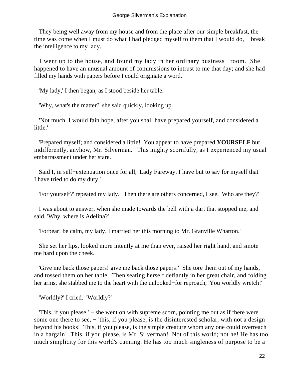They being well away from my house and from the place after our simple breakfast, the time was come when I must do what I had pledged myself to them that I would do, − break the intelligence to my lady.

 I went up to the house, and found my lady in her ordinary business− room. She happened to have an unusual amount of commissions to intrust to me that day; and she had filled my hands with papers before I could originate a word.

'My lady,' I then began, as I stood beside her table.

'Why, what's the matter?' she said quickly, looking up.

 'Not much, I would fain hope, after you shall have prepared yourself, and considered a little.'

 'Prepared myself; and considered a little! You appear to have prepared **YOURSELF** but indifferently, anyhow, Mr. Silverman.' This mighty scornfully, as I experienced my usual embarrassment under her stare.

 Said I, in self−extenuation once for all, 'Lady Fareway, I have but to say for myself that I have tried to do my duty.'

'For yourself?' repeated my lady. 'Then there are others concerned, I see. Who are they?'

 I was about to answer, when she made towards the bell with a dart that stopped me, and said, 'Why, where is Adelina?'

'Forbear! be calm, my lady. I married her this morning to Mr. Granville Wharton.'

 She set her lips, looked more intently at me than ever, raised her right hand, and smote me hard upon the cheek.

 'Give me back those papers! give me back those papers!' She tore them out of my hands, and tossed them on her table. Then seating herself defiantly in her great chair, and folding her arms, she stabbed me to the heart with the unlooked−for reproach, 'You worldly wretch!'

'Worldly?' I cried. 'Worldly?'

 'This, if you please,' − she went on with supreme scorn, pointing me out as if there were some one there to see, – 'this, if you please, is the disinterested scholar, with not a design beyond his books! This, if you please, is the simple creature whom any one could overreach in a bargain! This, if you please, is Mr. Silverman! Not of this world; not he! He has too much simplicity for this world's cunning. He has too much singleness of purpose to be a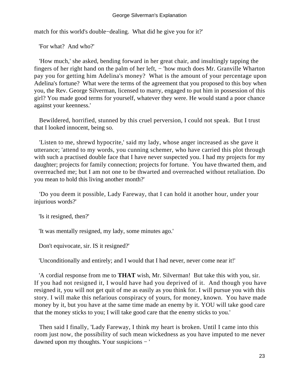match for this world's double−dealing. What did he give you for it?'

'For what? And who?'

 'How much,' she asked, bending forward in her great chair, and insultingly tapping the fingers of her right hand on the palm of her left, − 'how much does Mr. Granville Wharton pay you for getting him Adelina's money? What is the amount of your percentage upon Adelina's fortune? What were the terms of the agreement that you proposed to this boy when you, the Rev. George Silverman, licensed to marry, engaged to put him in possession of this girl? You made good terms for yourself, whatever they were. He would stand a poor chance against your keenness.'

 Bewildered, horrified, stunned by this cruel perversion, I could not speak. But I trust that I looked innocent, being so.

 'Listen to me, shrewd hypocrite,' said my lady, whose anger increased as she gave it utterance; 'attend to my words, you cunning schemer, who have carried this plot through with such a practised double face that I have never suspected you. I had my projects for my daughter; projects for family connection; projects for fortune. You have thwarted them, and overreached me; but I am not one to be thwarted and overreached without retaliation. Do you mean to hold this living another month?'

 'Do you deem it possible, Lady Fareway, that I can hold it another hour, under your injurious words?'

'Is it resigned, then?'

'It was mentally resigned, my lady, some minutes ago.'

Don't equivocate, sir. IS it resigned?'

'Unconditionally and entirely; and I would that I had never, never come near it!'

 'A cordial response from me to **THAT** wish, Mr. Silverman! But take this with you, sir. If you had not resigned it, I would have had you deprived of it. And though you have resigned it, you will not get quit of me as easily as you think for. I will pursue you with this story. I will make this nefarious conspiracy of yours, for money, known. You have made money by it, but you have at the same time made an enemy by it. YOU will take good care that the money sticks to you; I will take good care that the enemy sticks to you.'

 Then said I finally, 'Lady Fareway, I think my heart is broken. Until I came into this room just now, the possibility of such mean wickedness as you have imputed to me never dawned upon my thoughts. Your suspicions − '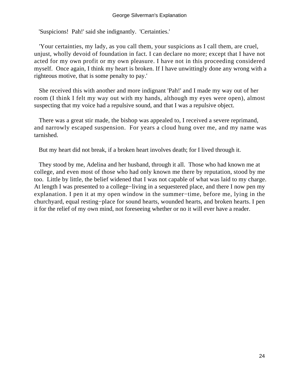'Suspicions! Pah!' said she indignantly. 'Certainties.'

 'Your certainties, my lady, as you call them, your suspicions as I call them, are cruel, unjust, wholly devoid of foundation in fact. I can declare no more; except that I have not acted for my own profit or my own pleasure. I have not in this proceeding considered myself. Once again, I think my heart is broken. If I have unwittingly done any wrong with a righteous motive, that is some penalty to pay.'

 She received this with another and more indignant 'Pah!' and I made my way out of her room (I think I felt my way out with my hands, although my eyes were open), almost suspecting that my voice had a repulsive sound, and that I was a repulsive object.

 There was a great stir made, the bishop was appealed to, I received a severe reprimand, and narrowly escaped suspension. For years a cloud hung over me, and my name was tarnished.

But my heart did not break, if a broken heart involves death; for I lived through it.

 They stood by me, Adelina and her husband, through it all. Those who had known me at college, and even most of those who had only known me there by reputation, stood by me too. Little by little, the belief widened that I was not capable of what was laid to my charge. At length I was presented to a college−living in a sequestered place, and there I now pen my explanation. I pen it at my open window in the summer−time, before me, lying in the churchyard, equal resting−place for sound hearts, wounded hearts, and broken hearts. I pen it for the relief of my own mind, not foreseeing whether or no it will ever have a reader.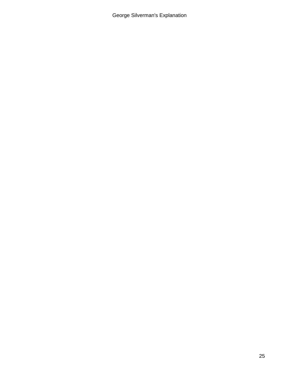George Silverman's Explanation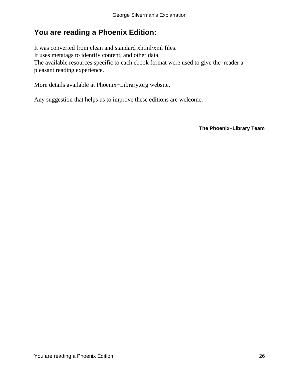# <span id="page-26-0"></span>**You are reading a Phoenix Edition:**

It was converted from clean and standard xhtml/xml files. It uses metatags to identify content, and other data. The available resources specific to each ebook format were used to give the reader a pleasant reading experience.

More details available at Phoenix−Library.org website.

Any suggestion that helps us to improve these editions are welcome.

**The Phoenix−Library Team**